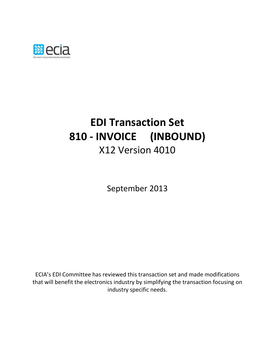

# **EDI Transaction Set 810 - INVOICE (INBOUND)** X12 Version 4010

September 2013

ECIA's EDI Committee has reviewed this transaction set and made modifications that will benefit the electronics industry by simplifying the transaction focusing on industry specific needs.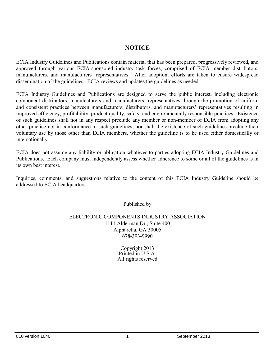## **NOTICE**

ECIA Industry Guidelines and Publications contain material that has been prepared, progressively reviewed, and approved through various ECIA-sponsored industry task forces, comprised of ECIA member distributors, manufacturers, and manufacturers' representatives. After adoption, efforts are taken to ensure widespread dissemination of the guidelines. ECIA reviews and updates the guidelines as needed.

ECIA Industry Guidelines and Publications are designed to serve the public interest, including electronic component distributors, manufacturers and manufacturers' representatives through the promotion of uniform and consistent practices between manufacturers, distributors, and manufacturers' representatives resulting in improved efficiency, profitability, product quality, safety, and environmentally responsible practices. Existence of such guidelines shall not in any respect preclude any member or non-member of ECIA from adopting any other practice not in conformance to such guidelines, nor shall the existence of such guidelines preclude their voluntary use by those other than ECIA members, whether the guideline is to be used either domestically or internationally.

ECIA does not assume any liability or obligation whatever to parties adopting ECIA Industry Guidelines and Publications. Each company must independently assess whether adherence to some or all of the guidelines is in its own best interest.

Inquiries, comments, and suggestions relative to the content of this ECIA Industry Guideline should be addressed to ECIA headquarters.

Published by

#### ELECTRONIC COMPONENTS INDUSTRY ASSOCIATION 1111 Alderman Dr., Suite 400 Alpharetta, GA 30005 678-393-9990

Copyright 2013 Printed in U.S.A. All rights reserved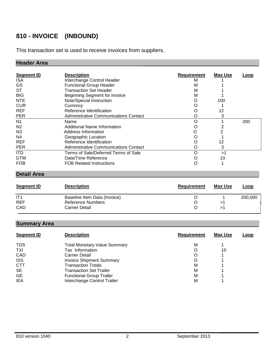## **810 - INVOICE (INBOUND)**

This transaction set is used to receive invoices from suppliers.

## **Header Area**

| <b>Segment ID</b> | <b>Description</b>                    | <b>Requirement</b> | <b>Max Use</b> | Loop |
|-------------------|---------------------------------------|--------------------|----------------|------|
| <b>ISA</b>        | Interchange Control Header            | м                  |                |      |
| GS                | <b>Functional Group Header</b>        | м                  |                |      |
| <b>ST</b>         | <b>Transaction Set Header</b>         | м                  |                |      |
| <b>BIG</b>        | Beginning Segment for Invoice         | М                  |                |      |
| <b>NTE</b>        | Note/Special Instruction              | O                  | 100            |      |
| <b>CUR</b>        | Currency                              | O                  |                |      |
| <b>REF</b>        | Reference Identification              |                    | 12             |      |
| <b>PER</b>        | Administrative Communications Contact |                    | 3              |      |
| N <sub>1</sub>    | Name                                  | O                  |                | 200  |
| N <sub>2</sub>    | Additional Name Information           | O                  |                |      |
| N <sub>3</sub>    | Address Information                   | O                  |                |      |
| N4                | Geographic Location                   | O                  |                |      |
| <b>REF</b>        | Reference Identification              | O                  | 12             |      |
| <b>PER</b>        | Administrative Communications Contact | O                  | 3              |      |
| <b>ITD</b>        | Terms of Sale/Deferred Terms of Sale  | Ω                  | >1             |      |
| <b>DTM</b>        | Date/Time Reference                   |                    | 10             |      |
| <b>FOB</b>        | <b>FOB Related Instructions</b>       |                    |                |      |

## **Detail Area**

| <b>Segment ID</b> | <b>Description</b>           | Requirement | Max Use | Loop    |
|-------------------|------------------------------|-------------|---------|---------|
| IT1               | Baseline Item Data (Invoice) |             |         | 200,000 |
| <b>REF</b>        | Reference Numbers            |             |         |         |
| CAD               | <b>Carrier Detail</b>        |             |         |         |

## **Summary Area**

| <b>Segment ID</b> | <b>Description</b>                  | <b>Requirement</b> | <b>Max Use</b> | <u>Loop</u> |
|-------------------|-------------------------------------|--------------------|----------------|-------------|
| <b>TDS</b>        | <b>Total Monetary Value Summary</b> | М                  |                |             |
| TXI               | Tax Information                     | O                  | 10             |             |
| CAD               | <b>Carrier Detail</b>               | O                  |                |             |
| <b>ISS</b>        | <b>Invoice Shipment Summary</b>     | O                  |                |             |
| CTT               | <b>Transaction Totals</b>           | М                  |                |             |
| <b>SE</b>         | <b>Transaction Set Trailer</b>      | М                  |                |             |
| <b>GE</b>         | <b>Functional Group Trailer</b>     | М                  |                |             |
| <b>IEA</b>        | Interchange Control Trailer         | М                  |                |             |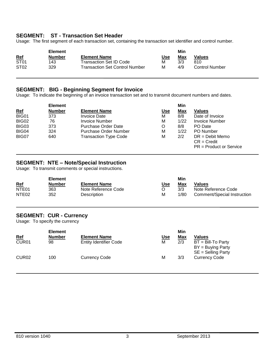#### **SEGMENT: ST - Transaction Set Header**

Usage: The first segment of each transaction set, containing the transaction set identifier and control number.

|                  | <b>Element</b> |                                       |            | Min |                       |
|------------------|----------------|---------------------------------------|------------|-----|-----------------------|
| <u>Ref</u>       | Number         | <b>Element Name</b>                   | <u>Use</u> | Max | <b>Values</b>         |
| ST <sub>01</sub> | 143            | Transaction Set ID Code               | М          | 3/3 | 810                   |
| ST <sub>02</sub> | 329            | <b>Transaction Set Control Number</b> | м          | 4/9 | <b>Control Number</b> |

#### **SEGMENT: BIG - Beginning Segment for Invoice**

Usage: To indicate the beginning of an invoice transaction set and to transmit document numbers and dates.

|            | <b>Element</b> |                              |            | Min  |                                    |
|------------|----------------|------------------------------|------------|------|------------------------------------|
| <b>Ref</b> | <b>Number</b>  | <b>Element Name</b>          | <u>Use</u> | Max  | <b>Values</b>                      |
| BIG01      | 373            | <b>Invoice Date</b>          | м          | 8/8  | Date of Invoice                    |
| BIG02      | 76             | Invoice Number               | M          | 1/22 | Invoice Number                     |
| BIG03      | 373            | <b>Purchase Order Date</b>   | O          | 8/8  | PO Date                            |
| BIG04      | 324            | Purchase Order Number        | M          | 1/22 | <b>PO</b> Number                   |
| BIG07      | 640            | <b>Transaction Type Code</b> | M          | 2/2  | $DR = Debit Memo$<br>$CR = Credit$ |
|            |                |                              |            |      | $PR = Product$ or Service          |

#### **SEGMENT: NTE – Note/Special Instruction**

Usage: To transmit comments or special instructions.

|                   | <b>Element</b> |                     |     | Min  |                             |  |
|-------------------|----------------|---------------------|-----|------|-----------------------------|--|
| <u>Ref</u>        | Number         | <b>Element Name</b> | Use | Max  | Values                      |  |
| NTE <sub>01</sub> | 363            | Note Reference Code |     | 3/3  | Note Reference Code         |  |
| NTE <sub>02</sub> | 352            | Description         | M   | 1/80 | Comment/Special Instruction |  |

#### **SEGMENT: CUR - Currency**

Usage: To specify the currency

|                   | <b>Element</b> |                               |            | Min |                      |
|-------------------|----------------|-------------------------------|------------|-----|----------------------|
| <u>Ref</u>        | <b>Number</b>  | <b>Element Name</b>           | <u>Use</u> | Max | Values               |
| CUR <sub>01</sub> | 98             | <b>Entity Identifier Code</b> | М          | 2/3 | $BT = Bill-To Party$ |
|                   |                |                               |            |     | $BY = Buying Party$  |
|                   |                |                               |            |     | SE = Selling Party   |
| CUR <sub>02</sub> | 100            | <b>Currency Code</b>          | М          | 3/3 | <b>Currency Code</b> |
|                   |                |                               |            |     |                      |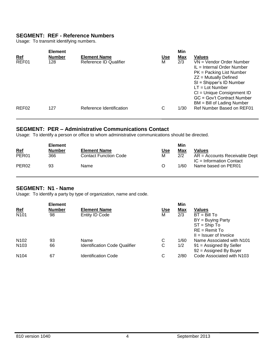## **SEGMENT: REF - Reference Numbers**

Usage: To transmit identifying numbers.

|                     | <b>Element</b>       |                                               |                 | Min               |                                                                                                                                                                                                                                  |
|---------------------|----------------------|-----------------------------------------------|-----------------|-------------------|----------------------------------------------------------------------------------------------------------------------------------------------------------------------------------------------------------------------------------|
| <u>Ref</u><br>REF01 | <b>Number</b><br>128 | <b>Element Name</b><br>Reference ID Qualifier | <u>Use</u><br>М | <u>Max</u><br>2/3 | <b>Values</b><br>VN = Vendor Order Number                                                                                                                                                                                        |
|                     |                      |                                               |                 |                   | $IL = Internal Order Number$<br>PK = Packing List Number<br>$ZZ =$ Mutually Defined<br>SI = Shipper's ID Number<br>$LT = Lot$ Number<br>CI = Unique Consignment ID<br>GC = Gov't Contract Number<br>$BM = Bill$ of Lading Number |
| REF <sub>02</sub>   | 127                  | Reference Identification                      | С               | 1/30              | Ref Number Based on REF01                                                                                                                                                                                                        |

## **SEGMENT: PER – Administrative Communications Contact**

Usage: To identify a person or office to whom administrative communications should be directed.

|                   | <b>Element</b> |                              |            | Min  |                                                               |
|-------------------|----------------|------------------------------|------------|------|---------------------------------------------------------------|
| <u>Ref</u>        | <b>Number</b>  | <b>Element Name</b>          | <u>Use</u> | Max  | <b>Values</b>                                                 |
| PER <sub>01</sub> | 366            | <b>Contact Function Code</b> | М          | 2/2  | $AR =$ Accounts Receivable Dept<br>$IC = Information Contact$ |
| PER <sub>02</sub> | 93             | Name                         |            | 1/60 | Name based on PER01                                           |

#### **SEGMENT: N1 - Name**

Usage: To identify a party by type of organization, name and code.

| <b>Element</b> |                                      |            | Min  |                           |
|----------------|--------------------------------------|------------|------|---------------------------|
| <b>Number</b>  | <b>Element Name</b>                  | <b>Use</b> |      | <b>Values</b>             |
| 98             | Entity ID Code                       | M          | 2/3  | $BT = Bill To$            |
|                |                                      |            |      | $BY = Buying Party$       |
|                |                                      |            |      | $ST =$ Ship To            |
|                |                                      |            |      | $RE =$ Remit To           |
|                |                                      |            |      | $II = Issuer of Invoice$  |
| 93             | Name                                 | C          | 1/60 | Name Associated with N101 |
| 66             | <b>Identification Code Qualifier</b> | С          | 1/2  | $91$ = Assigned By Seller |
|                |                                      |            |      | $92$ = Assigned By Buyer  |
| 67             | <b>Identification Code</b>           | C          | 2/80 | Code Associated with N103 |
|                |                                      |            |      | <u>Max</u>                |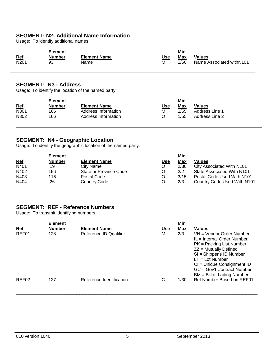## **SEGMENT: N2- Additional Name Information**

Usage: To identify additional names.

| Ref              | <b>Number</b> | <b>Element Name</b> | Use | Max  | Values                    |
|------------------|---------------|---------------------|-----|------|---------------------------|
| N <sub>201</sub> | 93            | Name                | М   | 1/60 | Name Associated with N101 |

#### **SEGMENT: N3 - Address**

Usage: To identify the location of the named party.

|            | <b>Element</b> |                     |     | Min  |                |
|------------|----------------|---------------------|-----|------|----------------|
| <u>Ref</u> | <b>Number</b>  | <b>Element Name</b> | Use | Max  | Values         |
| N301       | 166            | Address Information | М   | 1/55 | Address Line 1 |
| N302       | 166            | Address Information | O   | 1/55 | Address Line 2 |

#### **SEGMENT: N4 - Geographic Location**

Usage: To identify the geographic location of the named party.

|            | <b>Element</b> |                        |            | Min        |                             |
|------------|----------------|------------------------|------------|------------|-----------------------------|
| <u>Ref</u> | <b>Number</b>  | <b>Element Name</b>    | <u>Use</u> | <u>Max</u> | Values                      |
| N401       | 19             | City Name              |            | 2/30       | City Associated With N101   |
| N402       | 156            | State or Province Code | O          | 2/2        | State Associated With N101  |
| N403       | 116            | Postal Code            |            | 3/15       | Postal Code Used With N101  |
| N404       | 26             | Country Code           | Ω          | 2/3        | Country Code Used With N101 |

#### **SEGMENT: REF - Reference Numbers**

Usage: To transmit identifying numbers.

| <u>Ref</u>        | <b>Element</b><br><b>Number</b> | <b>Element Name</b>      | <u>Use</u> | Min<br>Max | <b>Values</b>                                                                                                                                                                                                                                                  |
|-------------------|---------------------------------|--------------------------|------------|------------|----------------------------------------------------------------------------------------------------------------------------------------------------------------------------------------------------------------------------------------------------------------|
| REF01             | 128                             | Reference ID Qualifier   | м          | 2/3        | VN = Vendor Order Number<br>$IL = Internal Order Number$<br>$PK =$ Packing List Number<br>$ZZ =$ Mutually Defined<br>SI = Shipper's ID Number<br>$LT = Lot Number$<br>CI = Unique Consignment ID<br>GC = Gov't Contract Number<br>$BM = Bill$ of Lading Number |
| REF <sub>02</sub> | 127                             | Reference Identification | С          | 1/30       | Ref Number Based on REF01                                                                                                                                                                                                                                      |

\_\_\_\_\_\_\_\_\_\_\_\_\_\_\_\_\_\_\_\_\_\_\_\_\_\_\_\_\_\_\_\_\_\_\_\_\_\_\_\_\_\_\_\_\_\_\_\_\_\_\_\_\_\_\_\_\_\_\_\_\_\_\_\_\_\_\_\_\_\_\_\_\_\_\_\_\_\_\_\_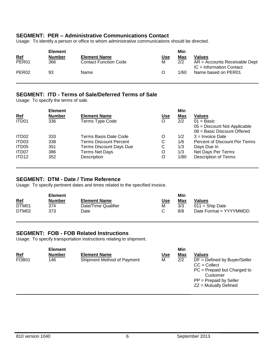#### **SEGMENT: PER – Administrative Communications Contact**

Usage: To identify a person or office to whom administrative communications should be directed.

|                   | <b>Element</b> |                              |            | Min  |                                                               |
|-------------------|----------------|------------------------------|------------|------|---------------------------------------------------------------|
| <u>Ref</u>        | <b>Number</b>  | <b>Element Name</b>          | <u>Use</u> | Max  | <b>Values</b>                                                 |
| PER <sub>01</sub> | 366            | <b>Contact Function Code</b> | м          | 2/2  | $AR =$ Accounts Receivable Dept<br>$IC = Information Contact$ |
| PER <sub>02</sub> | 93             | Name                         | O          | 1/60 | Name based on PER01                                           |

#### **SEGMENT: ITD - Terms of Sale/Deferred Terms of Sale**

Usage: To specify the terms of sale.

|                   | <b>Element</b> |                         |            | Min        |                                |
|-------------------|----------------|-------------------------|------------|------------|--------------------------------|
| <b>Ref</b>        | <b>Number</b>  | <b>Element Name</b>     | <u>Use</u> | <u>Max</u> | <b>Values</b>                  |
| ITD01             | 336            | Terms Type Code         | O          | 2/2        | $01 =$ Basic                   |
|                   |                |                         |            |            | $05 =$ Discount Not Applicable |
|                   |                |                         |            |            | 08 = Basic Discount Offered    |
| ITD02             | 333            | Terms Basis Date Code   | O          | 1/2        | $3 =$ Invoice Date             |
| ITD03             | 338            | Terms Discount Percent  | С          | 1/6        | Percent of Discount Per Terms  |
| ITD05             | 351            | Terms Discount Days Due | C          | 1/3        | Days Due In                    |
| ITD07             | 386            | <b>Terms Net Days</b>   | O          | 1/3        | Net Days Per Terms             |
| ITD <sub>12</sub> | 352            | Description             | O          | 1/80       | <b>Description of Terms</b>    |
|                   |                |                         |            |            |                                |

#### **SEGMENT: DTM - Date / Time Reference**

Usage: To specify pertinent dates and times related to the specified invoice.

|            | <b>Element</b> |                     |     | Min |                        |
|------------|----------------|---------------------|-----|-----|------------------------|
| <u>Ref</u> | <b>Number</b>  | <b>Element Name</b> | Use | Max | <b>Values</b>          |
| DTM01      | 374            | Date/Time Qualifier | M   | 3/3 | $011 =$ Ship Date      |
| DTM02      | 373            | Date                |     | 8/8 | Date Format = YYYYMMDD |

#### **SEGMENT: FOB - FOB Related Instructions**

Usage: To specify transportation instructions relating to shipment.

|                     | <b>Element</b>       |                                                   |                 | Min               |                                                                                                                                                                       |
|---------------------|----------------------|---------------------------------------------------|-----------------|-------------------|-----------------------------------------------------------------------------------------------------------------------------------------------------------------------|
| <u>Ref</u><br>FOB01 | <b>Number</b><br>146 | <b>Element Name</b><br>Shipment Method of Payment | <u>Use</u><br>M | <u>Max</u><br>2/2 | <b>Values</b><br>$DF = Defined$ by Buyer/Seller<br>$CC = Collect$<br>$PC = Prepaid$ but Charged to<br>Customer<br>$PP = Prepaid$ by Seller<br>$ZZ =$ Mutually Defined |
|                     |                      |                                                   |                 |                   |                                                                                                                                                                       |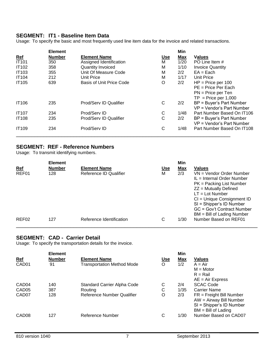#### **SEGMENT: IT1 - Baseline Item Data**

Usage: To specify the basic and most frequently used line item data for the invoice and related transactions.

|              | <b>Element</b> |                                 |            | Min        |                            |
|--------------|----------------|---------------------------------|------------|------------|----------------------------|
| <u>Ref</u>   | <b>Number</b>  | <b>Element Name</b>             | <u>Use</u> | <b>Max</b> | <b>Values</b>              |
| <b>IT101</b> | 350            | Assigned Identification         | М          | 1/20       | PO Line Item #             |
| <b>IT102</b> | 358            | <b>Quantity Invoiced</b>        | M          | 1/10       | <b>Invoice Quantity</b>    |
| <b>IT103</b> | 355            | Unit Of Measure Code            | M          | 2/2        | $EA = Each$                |
| <b>IT104</b> | 212            | Unit Price                      | M          | 1/17       | Unit Price                 |
| <b>IT105</b> | 639            | <b>Basis of Unit Price Code</b> | O          | 2/2        | $HP = Price per 100$       |
|              |                |                                 |            |            | $PE = Price Per Each$      |
|              |                |                                 |            |            | $PN = Price per Ten$       |
|              |                |                                 |            |            | $TP = Price per 1,000$     |
| <b>IT106</b> | 235            | Prod/Serv ID Qualifier          | С          | 2/2        | BP = Buyer's Part Number   |
|              |                |                                 |            |            | VP = Vendor's Part Number  |
| <b>IT107</b> | 234            | Prod/Serv ID                    | C          | 1/48       | Part Number Based On IT106 |
| <b>IT108</b> | 235            | Prod/Serv ID Qualifier          | C          | 2/2        | BP = Buyer's Part Number   |
|              |                |                                 |            |            | VP = Vendor's Part Number  |
| <b>IT109</b> | 234            | Prod/Serv ID                    | С          | 1/48       | Part Number Based On IT108 |
|              |                |                                 |            |            |                            |

## **SEGMENT: REF - Reference Numbers**

Usage: To transmit identifying numbers.

|                   | <b>Element</b> |                          |            | Min  |                                                                                                                                                                                                                                                              |
|-------------------|----------------|--------------------------|------------|------|--------------------------------------------------------------------------------------------------------------------------------------------------------------------------------------------------------------------------------------------------------------|
| <u>Ref</u>        | <b>Number</b>  | <b>Element Name</b>      | <u>Use</u> | Max  | <b>Values</b>                                                                                                                                                                                                                                                |
| REF01             | 128            | Reference ID Qualifier   | м          | 2/3  | VN = Vendor Order Number<br>IL = Internal Order Number<br>$PK =$ Packing List Number<br>$ZZ =$ Mutually Defined<br>$LT = Lot Number$<br>CI = Unique Consignment ID<br>SI = Shipper's ID Number<br>GC = Gov't Contract Number<br>$BM = Bill$ of Lading Number |
| REF <sub>02</sub> | 127            | Reference Identification | C          | 1/30 | Number Based on REF01                                                                                                                                                                                                                                        |

#### **SEGMENT: CAD - Carrier Detail**

Usage: To specify the transportation details for the invoice.

|                   | <b>Element</b> |                                   |            | Min  |                                                                                                              |
|-------------------|----------------|-----------------------------------|------------|------|--------------------------------------------------------------------------------------------------------------|
| <u>Ref</u>        | Number         | <b>Element Name</b>               | <u>Use</u> | Max  | <b>Values</b>                                                                                                |
| CAD01             | 91             | <b>Transportation Method Mode</b> | O          | 1/2  | $A = Air$                                                                                                    |
|                   |                |                                   |            |      | $M = Motor$                                                                                                  |
|                   |                |                                   |            |      | $R =$ Rail                                                                                                   |
|                   |                |                                   |            |      | $AE = Air Express$                                                                                           |
| CAD <sub>04</sub> | 140            | Standard Carrier Alpha Code       | C          | 2/4  | <b>SCAC Code</b>                                                                                             |
| CAD <sub>05</sub> | 387            | Routing                           | C          | 1/35 | <b>Carrier Name</b>                                                                                          |
| CAD <sub>07</sub> | 128            | <b>Reference Number Qualifier</b> | O          | 2/3  | $FR = Freight$ Bill Number<br>$AW = Airway$ Bill Number<br>SI = Shipper's ID Number<br>$BM = Bill$ of Lading |
| CAD <sub>08</sub> | 127            | Reference Number                  | C          | 1/30 | Number Based on CAD07                                                                                        |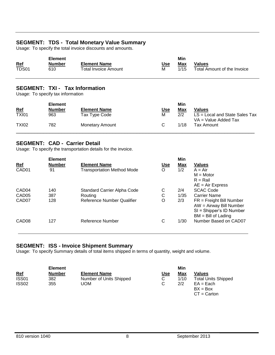## **SEGMENT: TDS - Total Monetary Value Summary**

Usage: To specify the total invoice discounts and amounts.

| <b>Element</b> |        |                      |     | Min  |                             |
|----------------|--------|----------------------|-----|------|-----------------------------|
| Ref            | Number | <b>Element Name</b>  | Jse | Max  | <b>Values</b>               |
| TDS01          | 610    | Total Invoice Amount | М   | 1/15 | Total Amount of the Invoice |

#### **SEGMENT: TXI - Tax Information**

Usage: To specify tax information

|              | <b>Element</b> |                        |            | Min  |                                                            |
|--------------|----------------|------------------------|------------|------|------------------------------------------------------------|
| <u>Ref</u>   | <b>Number</b>  | <b>Element Name</b>    | <u>Use</u> | Max  | <b>Values</b>                                              |
| <b>TXI01</b> | 963            | Tax Type Code          | М          | 2/2  | $LS = Local$ and State Sales Tax<br>$VA = Value$ Added Tax |
| <b>TXI02</b> | 782            | <b>Monetary Amount</b> |            | 1/18 | Tax Amount                                                 |

#### **SEGMENT: CAD - Carrier Detail**

Usage: To specify the transportation details for the invoice.

|                   | <b>Element</b> |                                   |            | Min        |                                                                                                              |
|-------------------|----------------|-----------------------------------|------------|------------|--------------------------------------------------------------------------------------------------------------|
| <u>Ref</u>        | <b>Number</b>  | <b>Element Name</b>               | <u>Use</u> | <b>Max</b> | <b>Values</b>                                                                                                |
| CAD01             | 91             | <b>Transportation Method Mode</b> | O          | 1/2        | $A = Air$                                                                                                    |
|                   |                |                                   |            |            | $M = Motor$                                                                                                  |
|                   |                |                                   |            |            | $R =$ Rail                                                                                                   |
|                   |                |                                   |            |            | $AE = Air Express$                                                                                           |
| CAD <sub>04</sub> | 140            | Standard Carrier Alpha Code       | С          | 2/4        | <b>SCAC Code</b>                                                                                             |
| CAD <sub>05</sub> | 387            | Routing                           | С          | 1/35       | <b>Carrier Name</b>                                                                                          |
| CAD <sub>07</sub> | 128            | <b>Reference Number Qualifier</b> | O          | 2/3        | $FR = Freight$ Bill Number<br>$AW = Airway$ Bill Number<br>SI = Shipper's ID Number<br>$BM = Bill$ of Lading |
| CAD <sub>08</sub> | 127            | Reference Number                  | С          | 1/30       | Number Based on CAD07                                                                                        |

#### **SEGMENT: ISS - Invoice Shipment Summary**

Usage: To specify Summary details of total items shipped in terms of quantity, weight and volume.

|                   | <b>Element</b> |                         |            | Min  |                            |
|-------------------|----------------|-------------------------|------------|------|----------------------------|
| <u>Ref</u>        | <b>Number</b>  | <b>Element Name</b>     | <u>Use</u> | Max  | Values                     |
| <b>ISS01</b>      | 382            | Number of Units Shipped | С          | 1/10 | <b>Total Units Shipped</b> |
| ISS <sub>02</sub> | 355            | uom                     |            | 2/2  | $EA = Each$                |
|                   |                |                         |            |      | $BX = Box$                 |
|                   |                |                         |            |      | $CT =$ Carton              |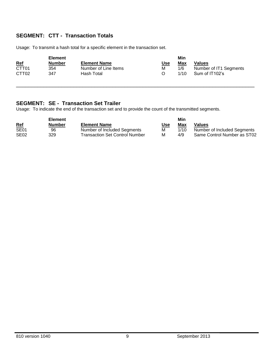## **SEGMENT: CTT - Transaction Totals**

Usage: To transmit a hash total for a specific element in the transaction set.

|                   | <b>Element</b> |                      |            | Min  |                        |
|-------------------|----------------|----------------------|------------|------|------------------------|
| <u>Ref</u>        | <b>Number</b>  | <b>Element Name</b>  | <u>Use</u> | Max  | <b>Values</b>          |
| CTT <sub>01</sub> | 354            | Number of Line Items | М          | 1/6  | Number of IT1 Segments |
| CTT <sub>02</sub> | 347            | Hash Total           |            | 1/10 | Sum of IT102's         |

\_\_\_\_\_\_\_\_\_\_\_\_\_\_\_\_\_\_\_\_\_\_\_\_\_\_\_\_\_\_\_\_\_\_\_\_\_\_\_\_\_\_\_\_\_\_\_\_\_\_\_\_\_\_\_\_\_\_\_\_\_\_\_\_\_\_\_\_\_\_\_\_\_\_\_\_\_\_\_

#### **SEGMENT: SE - Transaction Set Trailer**

Usage: To indicate the end of the transaction set and to provide the count of the transmitted segments.

|                  | <b>Element</b> |                                       |            |      |                             |
|------------------|----------------|---------------------------------------|------------|------|-----------------------------|
| <u>Ref</u>       | <b>Number</b>  | <b>Element Name</b>                   | <u>Use</u> | Max  | Values                      |
| SE <sub>01</sub> | 96             | Number of Included Segments           | м          | 1/10 | Number of Included Segments |
| SE <sub>02</sub> | 329            | <b>Transaction Set Control Number</b> | м          | 4/9  | Same Control Number as ST02 |